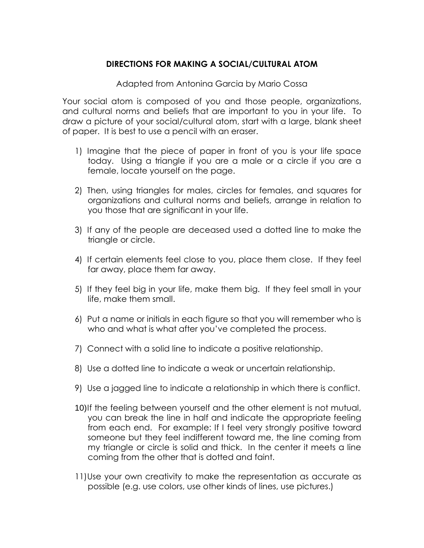## **DIRECTIONS FOR MAKING A SOCIAL/CULTURAL ATOM**

Adapted from Antonina Garcia by Mario Cossa

Your social atom is composed of you and those people, organizations, and cultural norms and beliefs that are important to you in your life. To draw a picture of your social/cultural atom, start with a large, blank sheet of paper. It is best to use a pencil with an eraser.

- 1) Imagine that the piece of paper in front of you is your life space today. Using a triangle if you are a male or a circle if you are a female, locate yourself on the page.
- 2) Then, using triangles for males, circles for females, and squares for organizations and cultural norms and beliefs, arrange in relation to you those that are significant in your life.
- 3) If any of the people are deceased used a dotted line to make the triangle or circle.
- 4) If certain elements feel close to you, place them close. If they feel far away, place them far away.
- 5) If they feel big in your life, make them big. If they feel small in your life, make them small.
- 6) Put a name or initials in each figure so that you will remember who is who and what is what after you've completed the process.
- 7) Connect with a solid line to indicate a positive relationship.
- 8) Use a dotted line to indicate a weak or uncertain relationship.
- 9) Use a jagged line to indicate a relationship in which there is conflict.
- 10)If the feeling between yourself and the other element is not mutual, you can break the line in half and indicate the appropriate feeling from each end. For example: If I feel very strongly positive toward someone but they feel indifferent toward me, the line coming from my triangle or circle is solid and thick. In the center it meets a line coming from the other that is dotted and faint.
- 11)Use your own creativity to make the representation as accurate as possible (e.g. use colors, use other kinds of lines, use pictures.)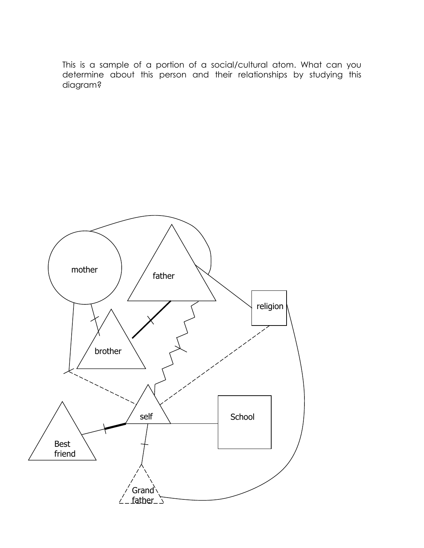This is a sample of a portion of a social/cultural atom. What can you determine about this person and their relationships by studying this diagram?